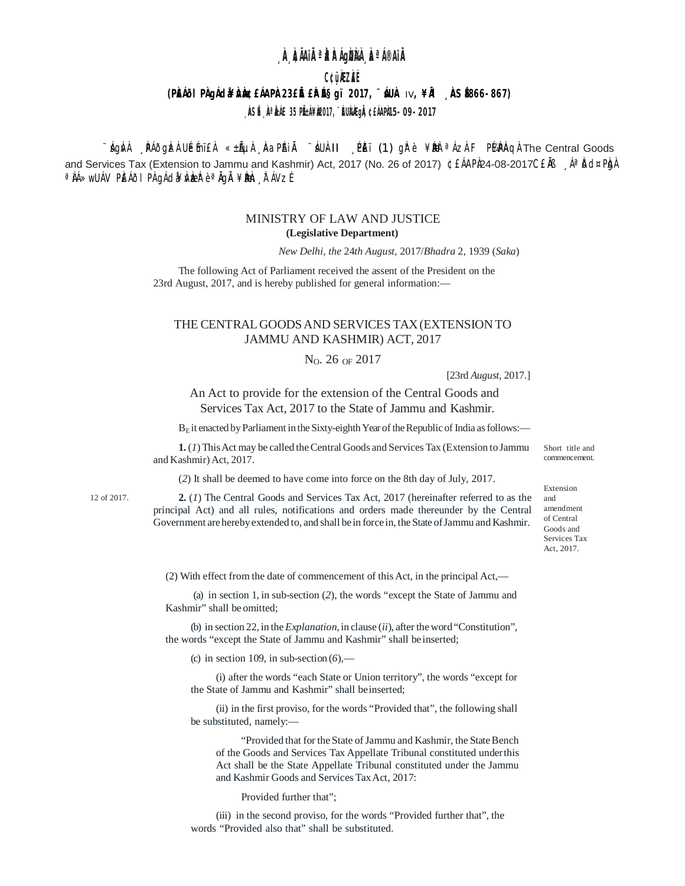# **A ÀIAIR AAAGAARA A AIBIA.**

# C¢üÀZÀÉ

## (PANOI PADACIA AGO EAAPA 23 E E PARSOI 2017, "AUA IV, ¥IA ASEG66-867)

## , ÀSÉ, À ÀIE 35 PÉ:1¥À017, ''ÉUÀÀ gẦ ¢£1APÀ 5-09-2017

∵ágivil Naðgizi Uémï£il «±líµil kaPhili máUill Neï (1) gire ¥bbè <sup>a</sup> lízi FPl⁄aPinqi The Central Goods and Services Tax (Extension to Jammu and Kashmir) Act, 2017 (No. 26 of 2017) ¢ £ÁAPà24-08-2017C£Å Aª Dd¤Pàn a JÁ≫wUÁV PIEÁðI PI gÁda¥ÍVLæR e a JgÄ ¥DHen "IT ÁVZÉ

### MINISTRY OF LAW AND JUSTICE (Legislative Department)

New Delhi, the 24th August, 2017/Bhadra 2, 1939 (Saka)

The following Act of Parliament received the assent of the President on the 23rd August, 2017, and is hereby published for general information:-

### THE CENTRAL GOODS AND SERVICES TAX (EXTENSION TO JAMMU AND KASHMIR) ACT, 2017

#### $N_O$ . 26 OF 2017

[23rd August, 2017.]

An Act to provide for the extension of the Central Goods and Services Tax Act, 2017 to the State of Jammu and Kashmir.

 $B<sub>E</sub>$  it enacted by Parliament in the Sixty-eighth Year of the Republic of India as follows:—

1. (1) This Act may be called the Central Goods and Services Tax (Extension to Jammu and Kashmir) Act, 2017.

(2) It shall be deemed to have come into force on the 8th day of July, 2017.

 $12 of 2017$ 

 $2. (1)$  The Central Goods and Services Tax Act, 2017 (hereinafter referred to as the principal Act) and all rules, notifications and orders made thereunder by the Central Government are hereby extended to, and shall be in force in, the State of Jammu and Kashmir.

(2) With effect from the date of commencement of this Act, in the principal Act,—

(a) in section 1, in sub-section (2), the words "except the State of Jammu and Kashmir" shall be omitted;

(b) in section 22, in the *Explanation*, in clause (*ii*), after the word "Constitution", the words "except the State of Jammu and Kashmir" shall be inserted;

(c) in section 109, in sub-section  $(6)$ ,—

(i) after the words "each State or Union territory", the words "except for the State of Jammu and Kashmir" shall be inserted;

(ii) in the first proviso, for the words "Provided that", the following shall be substituted, namely:-

"Provided that for the State of Jammu and Kashmir, the State Bench of the Goods and Services Tax Appellate Tribunal constituted under this Act shall be the State Appellate Tribunal constituted under the Jammu and Kashmir Goods and Services Tax Act. 2017:

Provided further that";

(iii) in the second proviso, for the words "Provided further that", the words "Provided also that" shall be substituted.

Short title and commencement.

Extension and amendment of Central Goods and Services Tax Act. 2017.